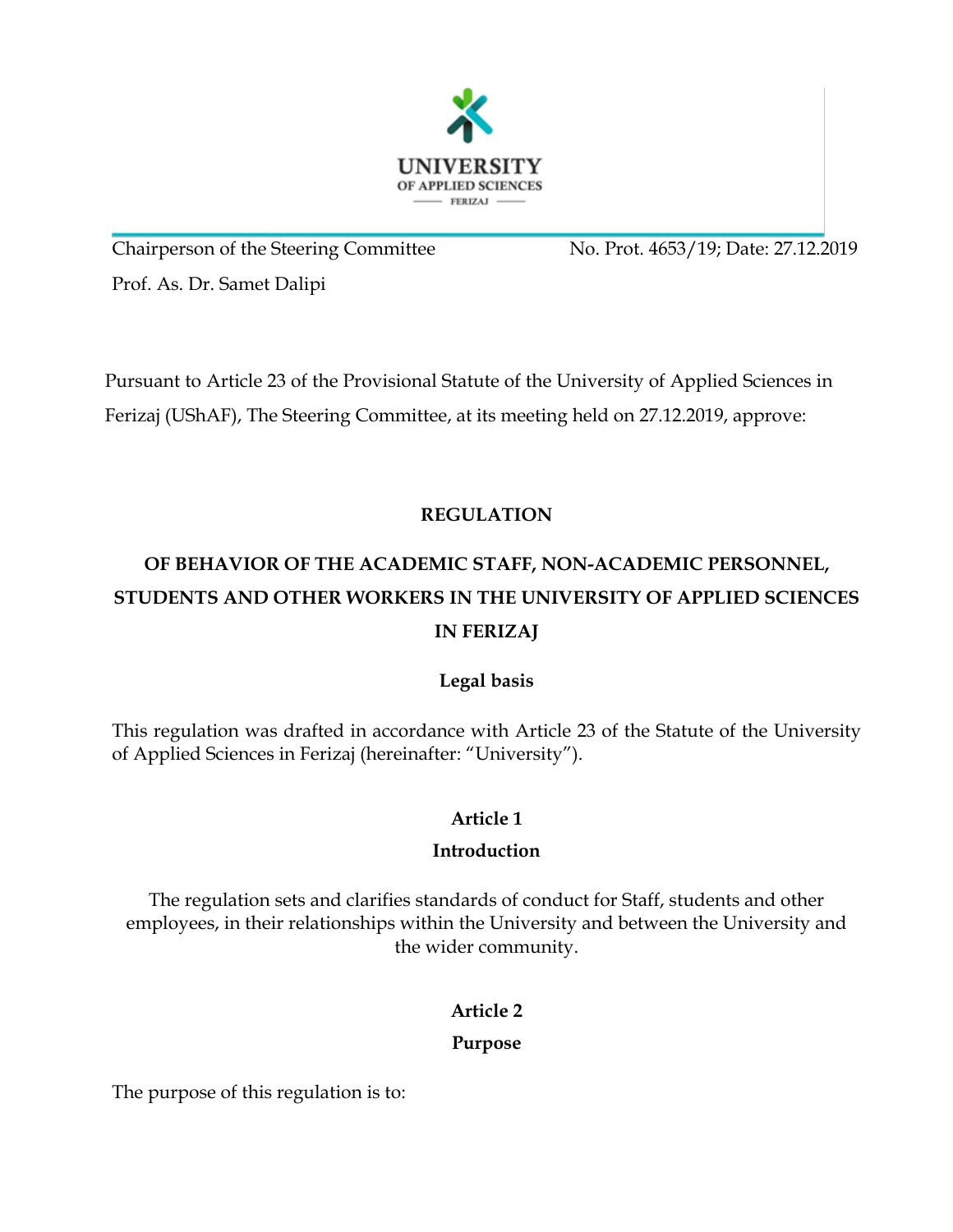

Chairperson of the Steering Committee No. Prot. 4653/19; Date: 27.12.2019 Prof. As. Dr. Samet Dalipi

Pursuant to Article 23 of the Provisional Statute of the University of Applied Sciences in Ferizaj (UShAF), The Steering Committee, at its meeting held on 27.12.2019, approve:

## **REGULATION**

# **OF BEHAVIOR OF THE ACADEMIC STAFF, NON-ACADEMIC PERSONNEL, STUDENTS AND OTHER WORKERS IN THE UNIVERSITY OF APPLIED SCIENCES IN FERIZAJ**

## **Legal basis**

This regulation was drafted in accordance with Article 23 of the Statute of the University of Applied Sciences in Ferizaj (hereinafter: "University").

## **Article 1**

## **Introduction**

The regulation sets and clarifies standards of conduct for Staff, students and other employees, in their relationships within the University and between the University and the wider community.

## **Article 2**

## **Purpose**

The purpose of this regulation is to: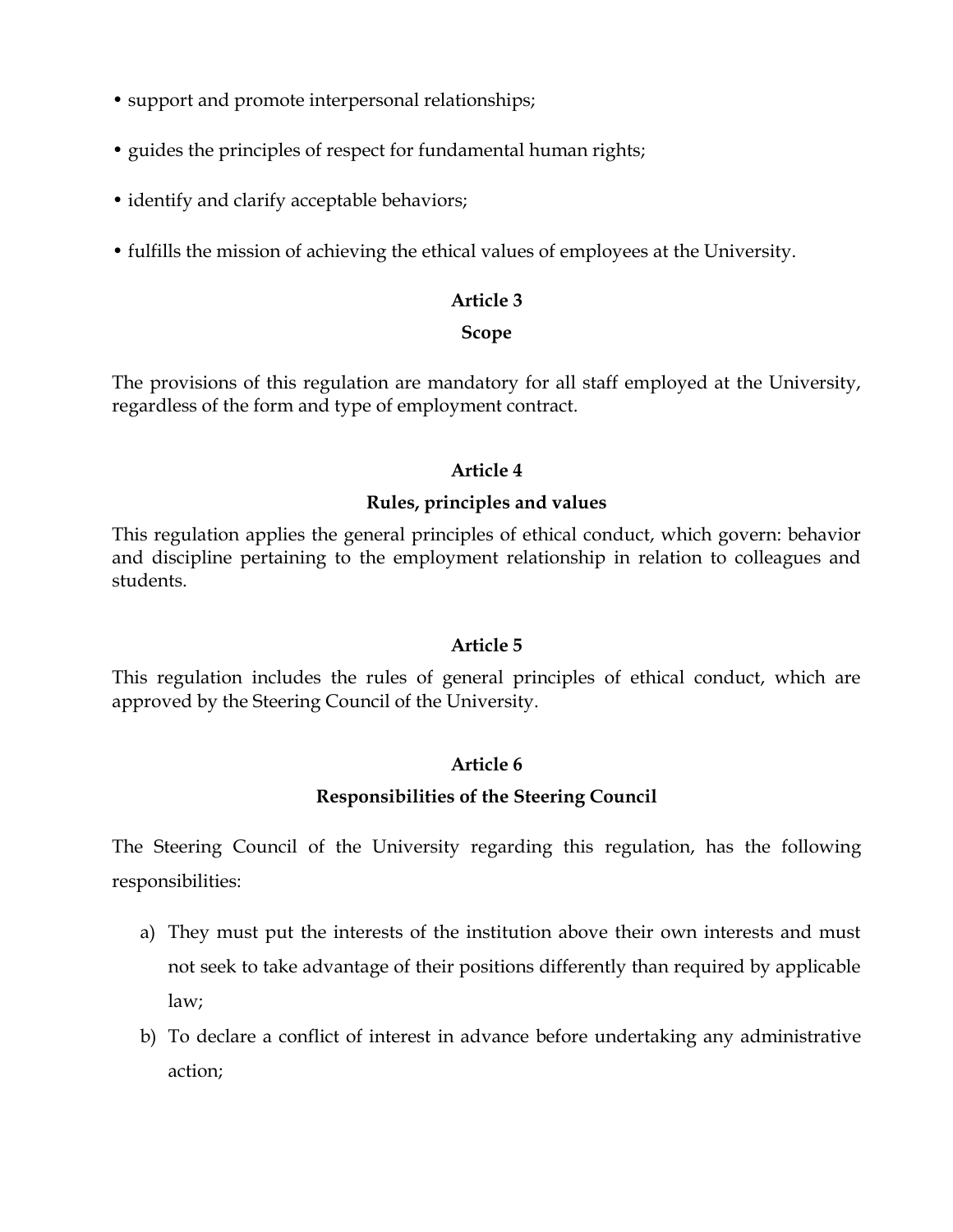- support and promote interpersonal relationships;
- guides the principles of respect for fundamental human rights;
- identify and clarify acceptable behaviors;
- fulfills the mission of achieving the ethical values of employees at the University.

#### **Scope**

The provisions of this regulation are mandatory for all staff employed at the University, regardless of the form and type of employment contract.

## **Article 4**

#### **Rules, principles and values**

This regulation applies the general principles of ethical conduct, which govern: behavior and discipline pertaining to the employment relationship in relation to colleagues and students.

## **Article 5**

This regulation includes the rules of general principles of ethical conduct, which are approved by the Steering Council of the University.

## **Article 6**

## **Responsibilities of the Steering Council**

The Steering Council of the University regarding this regulation, has the following responsibilities:

- a) They must put the interests of the institution above their own interests and must not seek to take advantage of their positions differently than required by applicable law;
- b) To declare a conflict of interest in advance before undertaking any administrative action;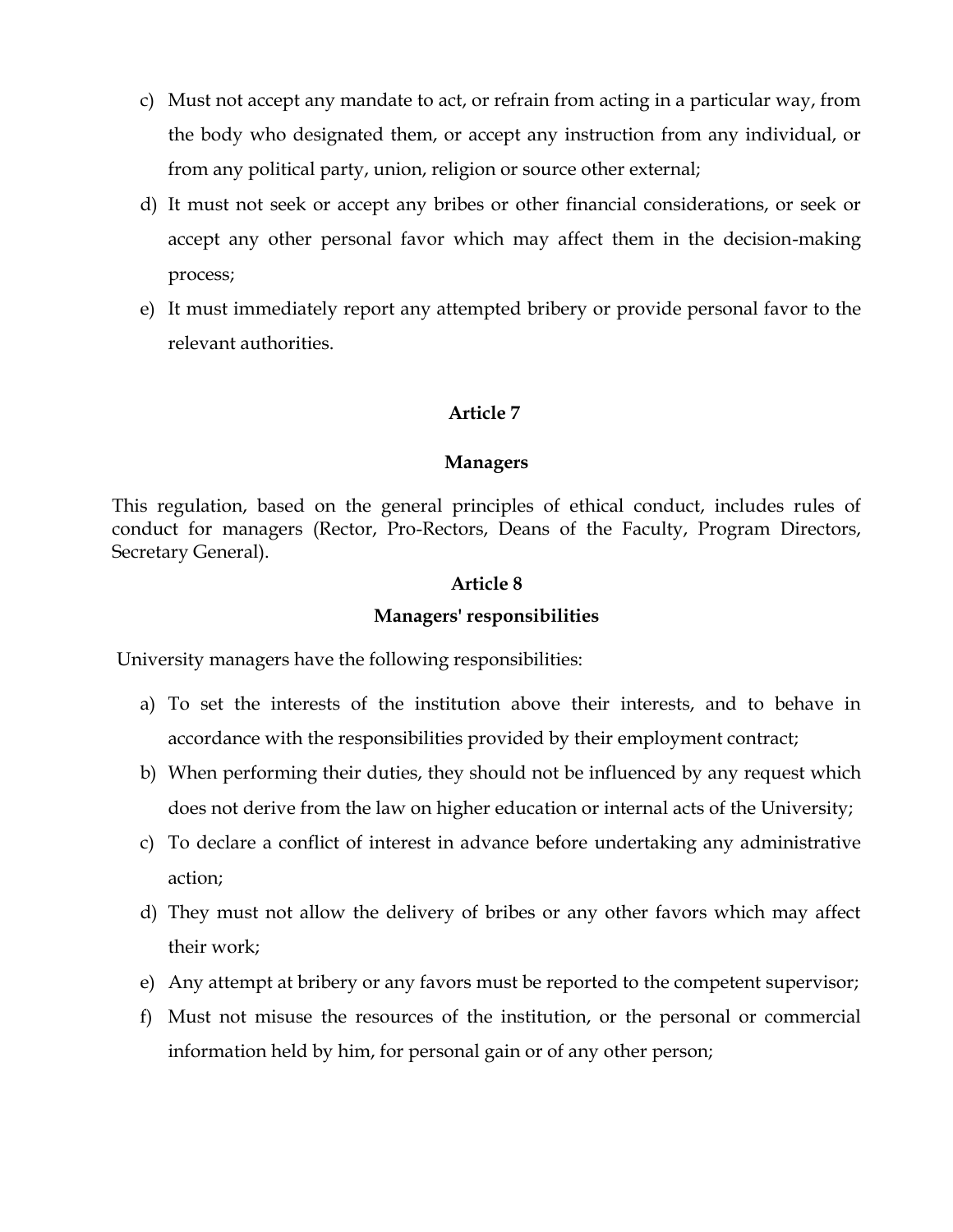- c) Must not accept any mandate to act, or refrain from acting in a particular way, from the body who designated them, or accept any instruction from any individual, or from any political party, union, religion or source other external;
- d) It must not seek or accept any bribes or other financial considerations, or seek or accept any other personal favor which may affect them in the decision-making process;
- e) It must immediately report any attempted bribery or provide personal favor to the relevant authorities.

#### **Managers**

This regulation, based on the general principles of ethical conduct, includes rules of conduct for managers (Rector, Pro-Rectors, Deans of the Faculty, Program Directors, Secretary General).

#### **Article 8**

#### **Managers' responsibilities**

University managers have the following responsibilities:

- a) To set the interests of the institution above their interests, and to behave in accordance with the responsibilities provided by their employment contract;
- b) When performing their duties, they should not be influenced by any request which does not derive from the law on higher education or internal acts of the University;
- c) To declare a conflict of interest in advance before undertaking any administrative action;
- d) They must not allow the delivery of bribes or any other favors which may affect their work;
- e) Any attempt at bribery or any favors must be reported to the competent supervisor;
- f) Must not misuse the resources of the institution, or the personal or commercial information held by him, for personal gain or of any other person;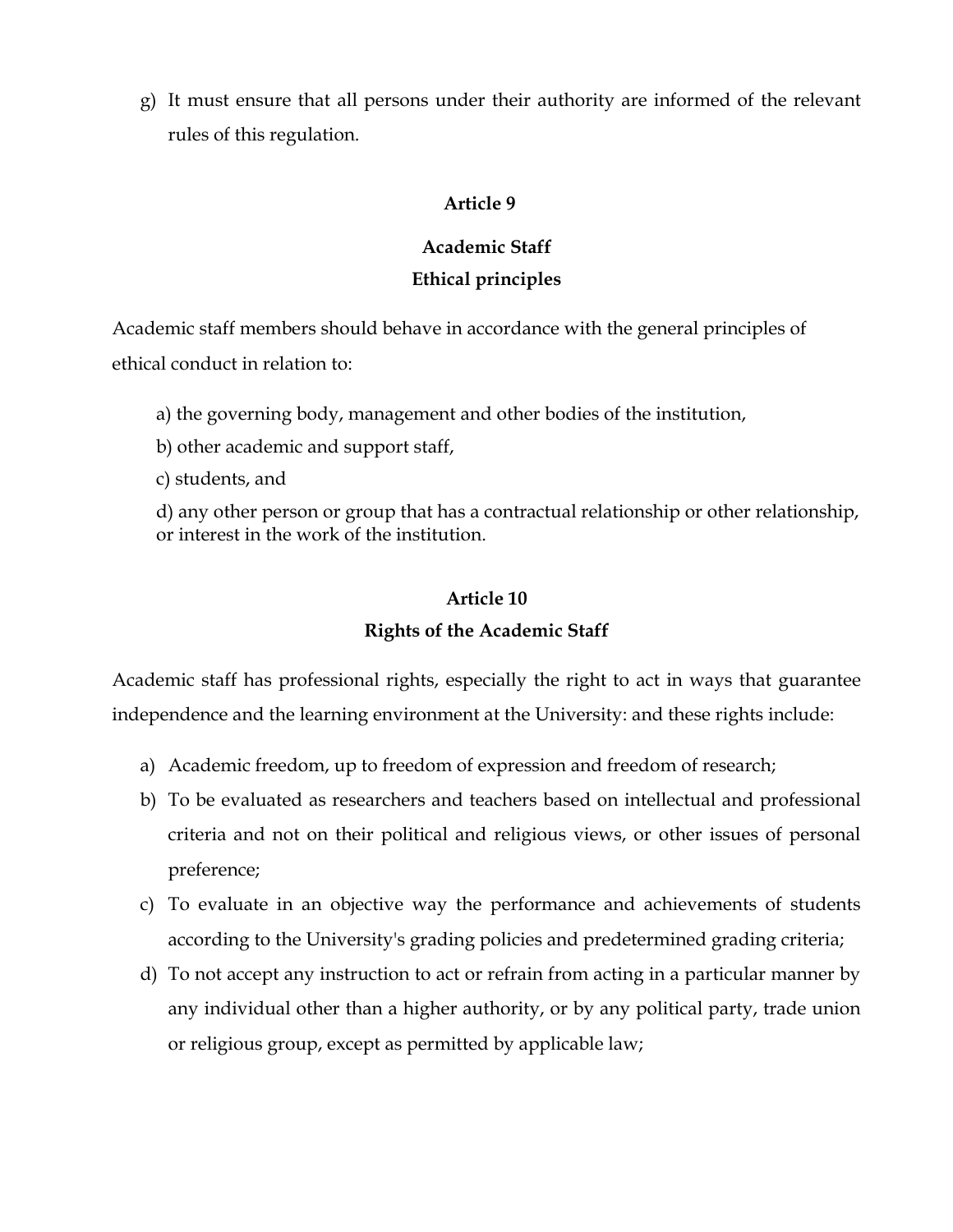g) It must ensure that all persons under their authority are informed of the relevant rules of this regulation.

## **Article 9**

## **Academic Staff Ethical principles**

Academic staff members should behave in accordance with the general principles of ethical conduct in relation to:

a) the governing body, management and other bodies of the institution,

b) other academic and support staff,

c) students, and

d) any other person or group that has a contractual relationship or other relationship, or interest in the work of the institution.

## **Article 10**

## **Rights of the Academic Staff**

Academic staff has professional rights, especially the right to act in ways that guarantee independence and the learning environment at the University: and these rights include:

- a) Academic freedom, up to freedom of expression and freedom of research;
- b) To be evaluated as researchers and teachers based on intellectual and professional criteria and not on their political and religious views, or other issues of personal preference;
- c) To evaluate in an objective way the performance and achievements of students according to the University's grading policies and predetermined grading criteria;
- d) To not accept any instruction to act or refrain from acting in a particular manner by any individual other than a higher authority, or by any political party, trade union or religious group, except as permitted by applicable law;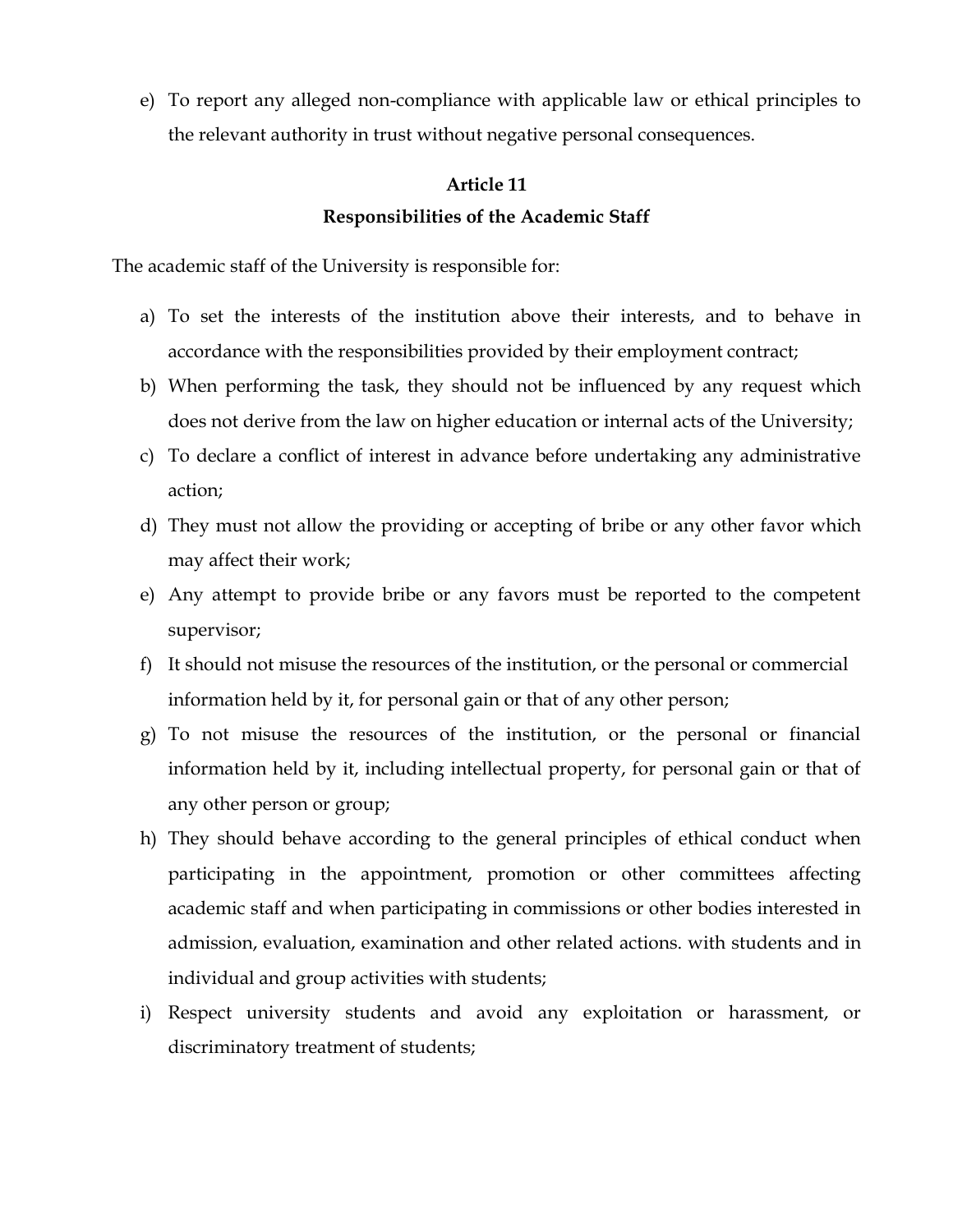e) To report any alleged non-compliance with applicable law or ethical principles to the relevant authority in trust without negative personal consequences.

## **Article 11 Responsibilities of the Academic Staff**

The academic staff of the University is responsible for:

- a) To set the interests of the institution above their interests, and to behave in accordance with the responsibilities provided by their employment contract;
- b) When performing the task, they should not be influenced by any request which does not derive from the law on higher education or internal acts of the University;
- c) To declare a conflict of interest in advance before undertaking any administrative action;
- d) They must not allow the providing or accepting of bribe or any other favor which may affect their work;
- e) Any attempt to provide bribe or any favors must be reported to the competent supervisor;
- f) It should not misuse the resources of the institution, or the personal or commercial information held by it, for personal gain or that of any other person;
- g) To not misuse the resources of the institution, or the personal or financial information held by it, including intellectual property, for personal gain or that of any other person or group;
- h) They should behave according to the general principles of ethical conduct when participating in the appointment, promotion or other committees affecting academic staff and when participating in commissions or other bodies interested in admission, evaluation, examination and other related actions. with students and in individual and group activities with students;
- i) Respect university students and avoid any exploitation or harassment, or discriminatory treatment of students;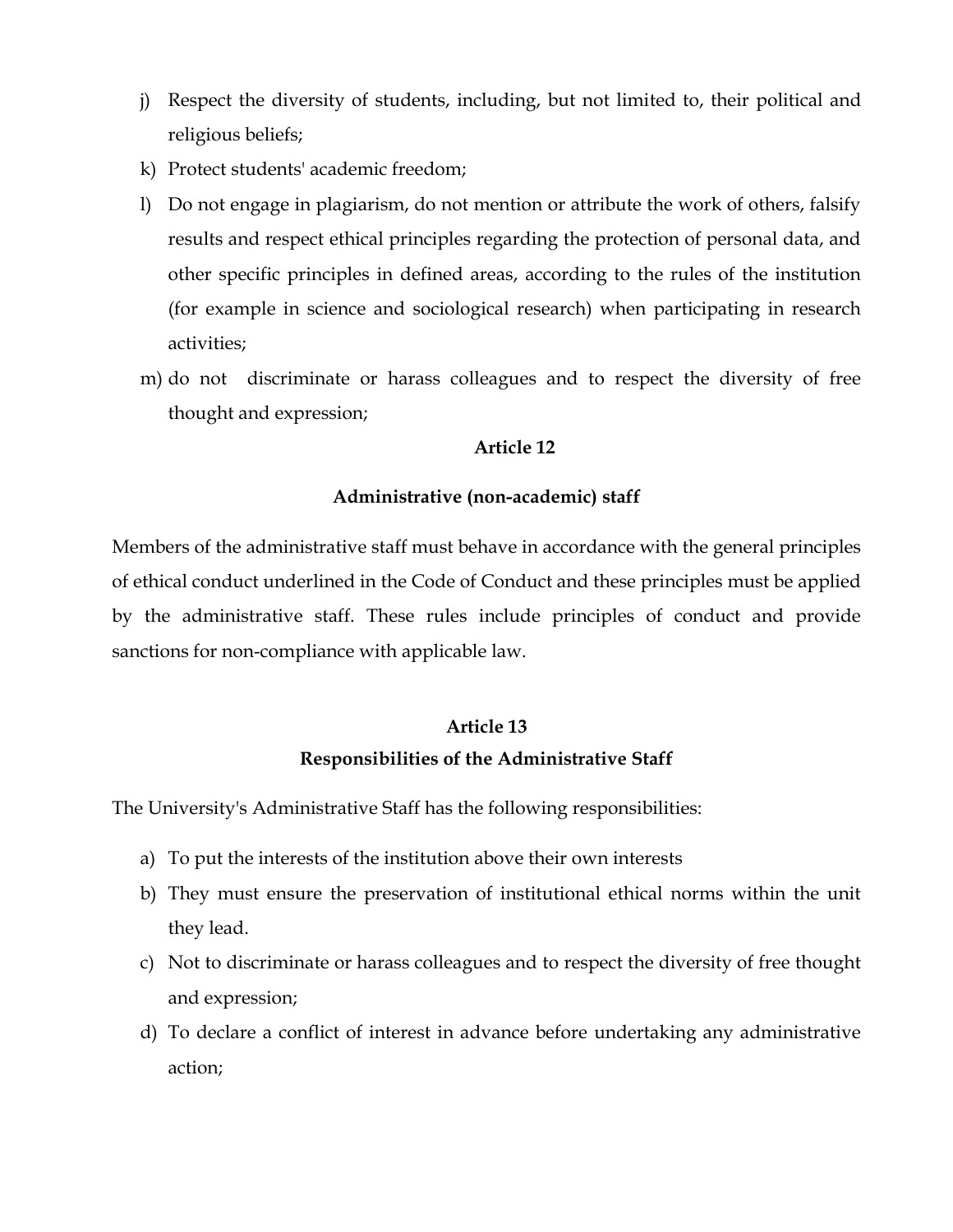- j) Respect the diversity of students, including, but not limited to, their political and religious beliefs;
- k) Protect students' academic freedom;
- l) Do not engage in plagiarism, do not mention or attribute the work of others, falsify results and respect ethical principles regarding the protection of personal data, and other specific principles in defined areas, according to the rules of the institution (for example in science and sociological research) when participating in research activities;
- m) do not discriminate or harass colleagues and to respect the diversity of free thought and expression;

## **Administrative (non-academic) staff**

Members of the administrative staff must behave in accordance with the general principles of ethical conduct underlined in the Code of Conduct and these principles must be applied by the administrative staff. These rules include principles of conduct and provide sanctions for non-compliance with applicable law.

#### **Article 13**

## **Responsibilities of the Administrative Staff**

The University's Administrative Staff has the following responsibilities:

- a) To put the interests of the institution above their own interests
- b) They must ensure the preservation of institutional ethical norms within the unit they lead.
- c) Not to discriminate or harass colleagues and to respect the diversity of free thought and expression;
- d) To declare a conflict of interest in advance before undertaking any administrative action;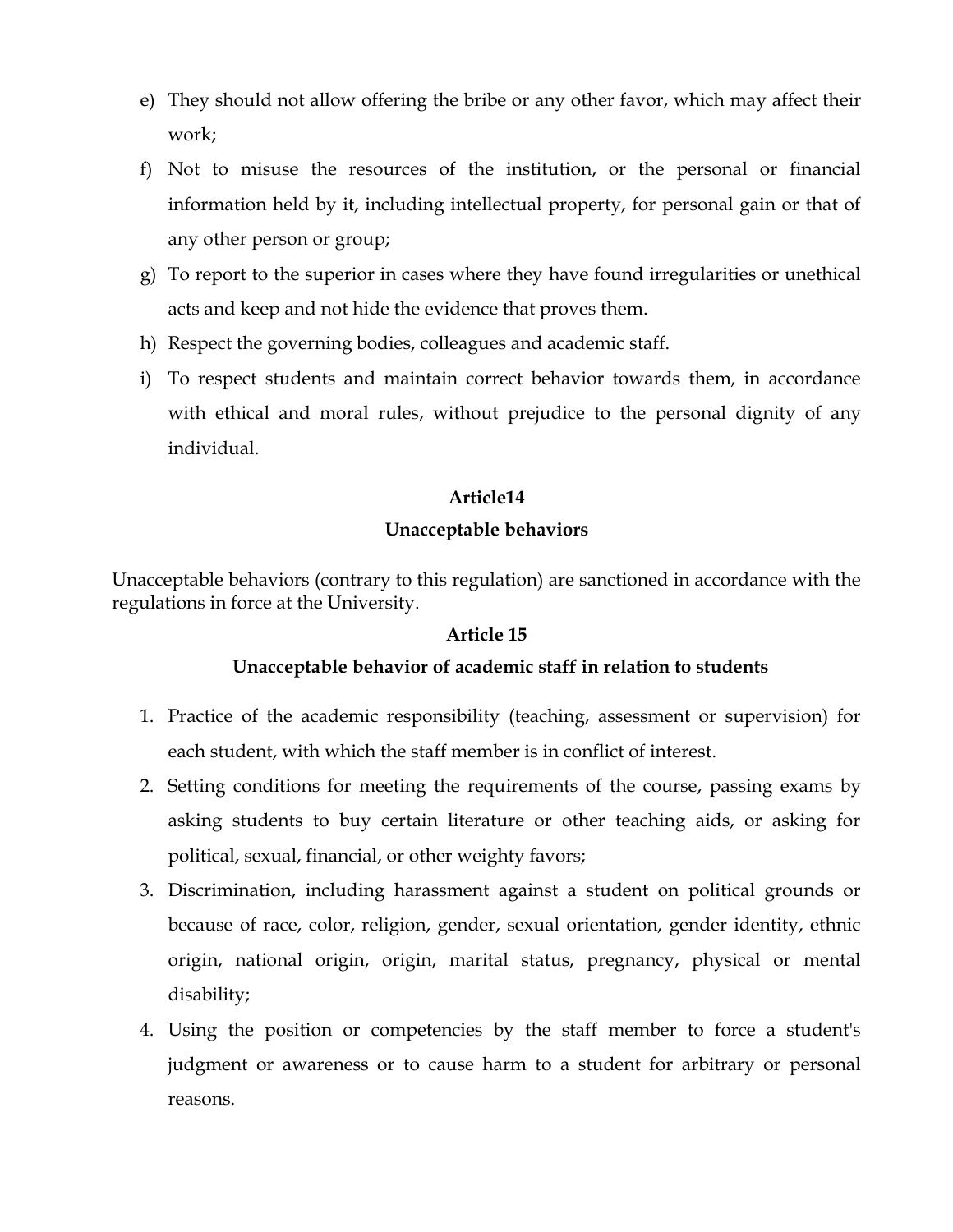- e) They should not allow offering the bribe or any other favor, which may affect their work;
- f) Not to misuse the resources of the institution, or the personal or financial information held by it, including intellectual property, for personal gain or that of any other person or group;
- g) To report to the superior in cases where they have found irregularities or unethical acts and keep and not hide the evidence that proves them.
- h) Respect the governing bodies, colleagues and academic staff.
- i) To respect students and maintain correct behavior towards them, in accordance with ethical and moral rules, without prejudice to the personal dignity of any individual.

## **Unacceptable behaviors**

Unacceptable behaviors (contrary to this regulation) are sanctioned in accordance with the regulations in force at the University.

#### **Article 15**

#### **Unacceptable behavior of academic staff in relation to students**

- 1. Practice of the academic responsibility (teaching, assessment or supervision) for each student, with which the staff member is in conflict of interest.
- 2. Setting conditions for meeting the requirements of the course, passing exams by asking students to buy certain literature or other teaching aids, or asking for political, sexual, financial, or other weighty favors;
- 3. Discrimination, including harassment against a student on political grounds or because of race, color, religion, gender, sexual orientation, gender identity, ethnic origin, national origin, origin, marital status, pregnancy, physical or mental disability;
- 4. Using the position or competencies by the staff member to force a student's judgment or awareness or to cause harm to a student for arbitrary or personal reasons.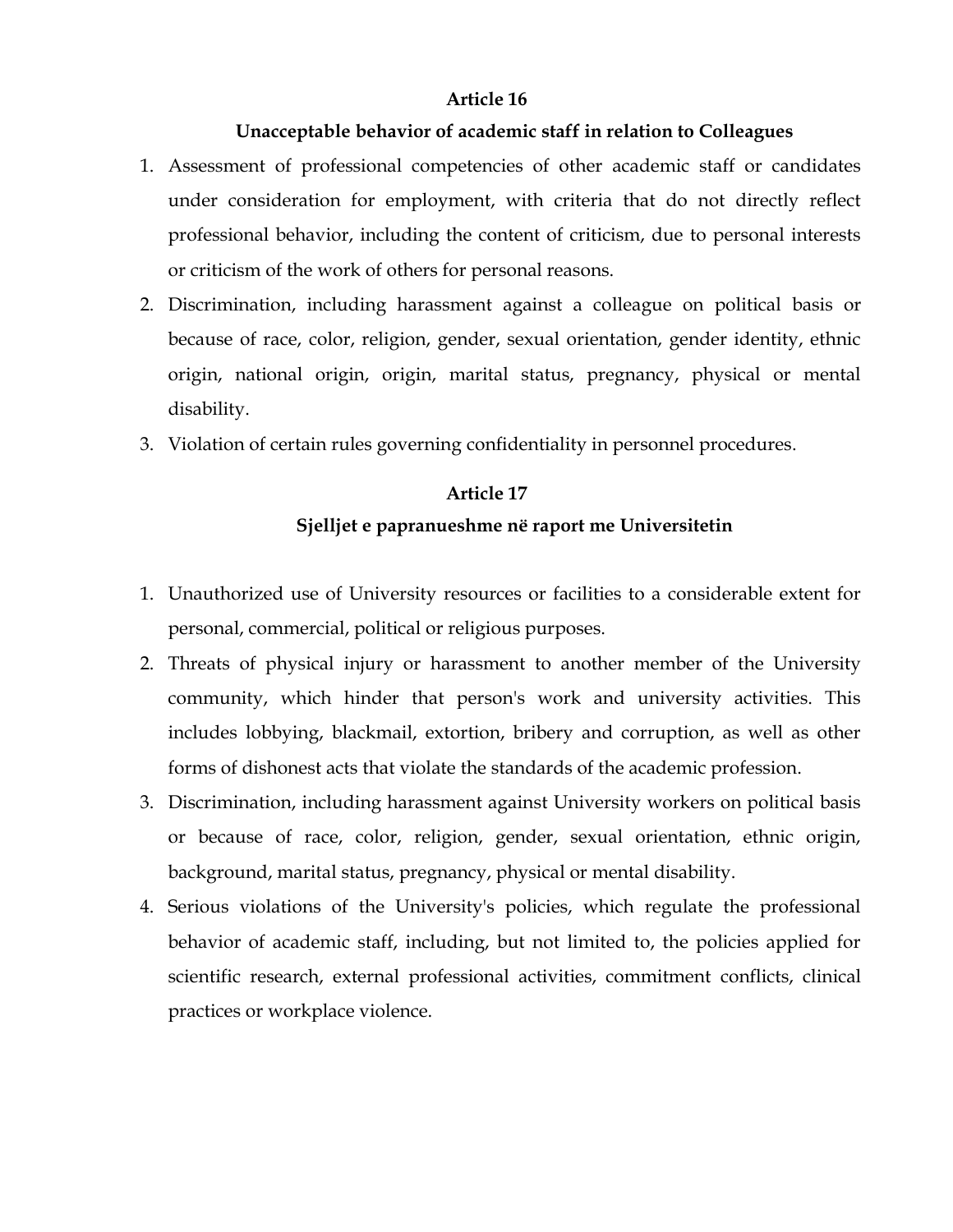#### **Unacceptable behavior of academic staff in relation to Colleagues**

- 1. Assessment of professional competencies of other academic staff or candidates under consideration for employment, with criteria that do not directly reflect professional behavior, including the content of criticism, due to personal interests or criticism of the work of others for personal reasons.
- 2. Discrimination, including harassment against a colleague on political basis or because of race, color, religion, gender, sexual orientation, gender identity, ethnic origin, national origin, origin, marital status, pregnancy, physical or mental disability.
- 3. Violation of certain rules governing confidentiality in personnel procedures.

## **Article 17 Sjelljet e papranueshme në raport me Universitetin**

- 1. Unauthorized use of University resources or facilities to a considerable extent for personal, commercial, political or religious purposes.
- 2. Threats of physical injury or harassment to another member of the University community, which hinder that person's work and university activities. This includes lobbying, blackmail, extortion, bribery and corruption, as well as other forms of dishonest acts that violate the standards of the academic profession.
- 3. Discrimination, including harassment against University workers on political basis or because of race, color, religion, gender, sexual orientation, ethnic origin, background, marital status, pregnancy, physical or mental disability.
- 4. Serious violations of the University's policies, which regulate the professional behavior of academic staff, including, but not limited to, the policies applied for scientific research, external professional activities, commitment conflicts, clinical practices or workplace violence.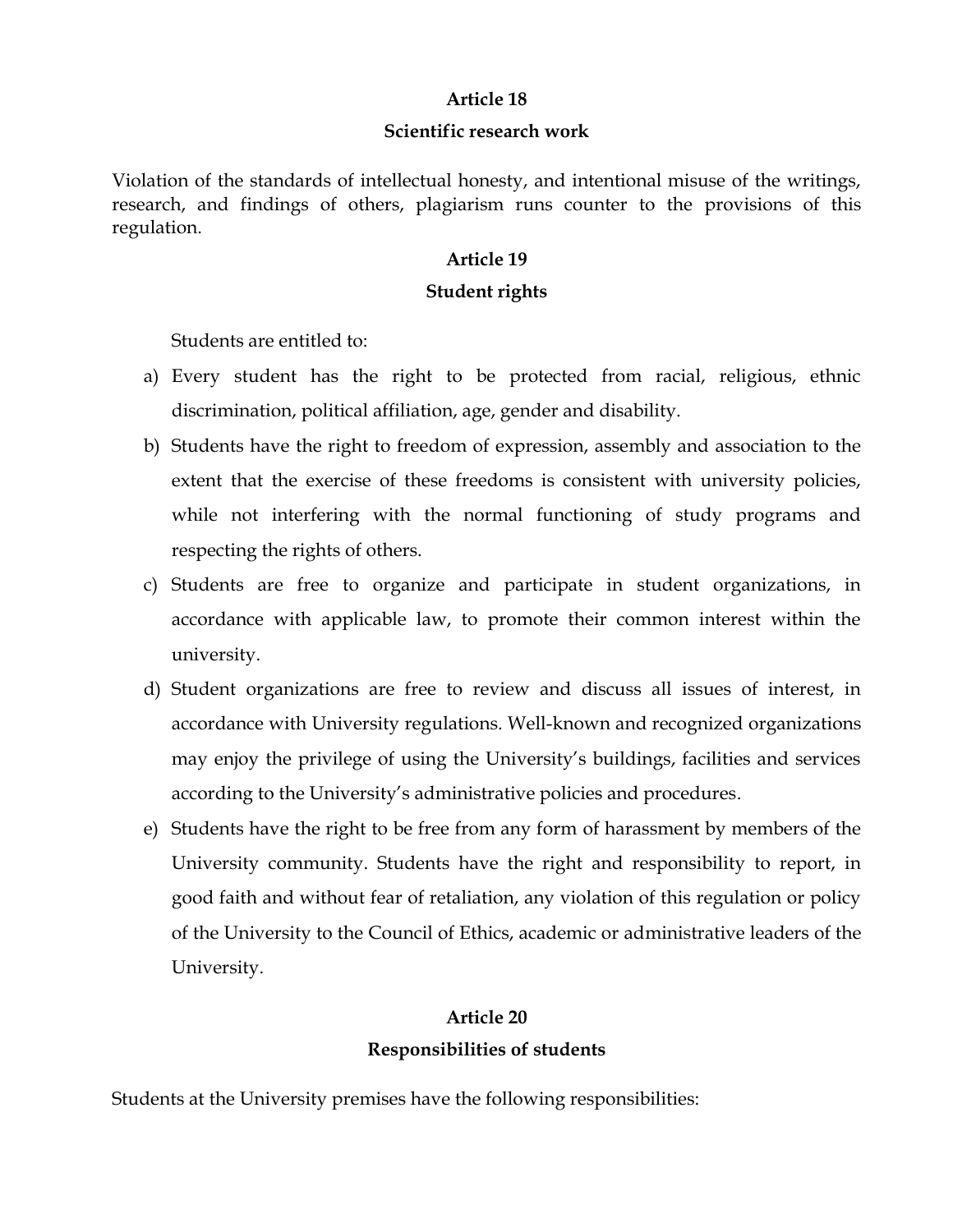#### **Scientific research work**

Violation of the standards of intellectual honesty, and intentional misuse of the writings, research, and findings of others, plagiarism runs counter to the provisions of this regulation.

#### **Article 19**

#### **Student rights**

Students are entitled to:

- a) Every student has the right to be protected from racial, religious, ethnic discrimination, political affiliation, age, gender and disability.
- b) Students have the right to freedom of expression, assembly and association to the extent that the exercise of these freedoms is consistent with university policies, while not interfering with the normal functioning of study programs and respecting the rights of others.
- c) Students are free to organize and participate in student organizations, in accordance with applicable law, to promote their common interest within the university.
- d) Student organizations are free to review and discuss all issues of interest, in accordance with University regulations. Well-known and recognized organizations may enjoy the privilege of using the University's buildings, facilities and services according to the University's administrative policies and procedures.
- e) Students have the right to be free from any form of harassment by members of the University community. Students have the right and responsibility to report, in good faith and without fear of retaliation, any violation of this regulation or policy of the University to the Council of Ethics, academic or administrative leaders of the University.

## **Article 20 Responsibilities of students**

Students at the University premises have the following responsibilities: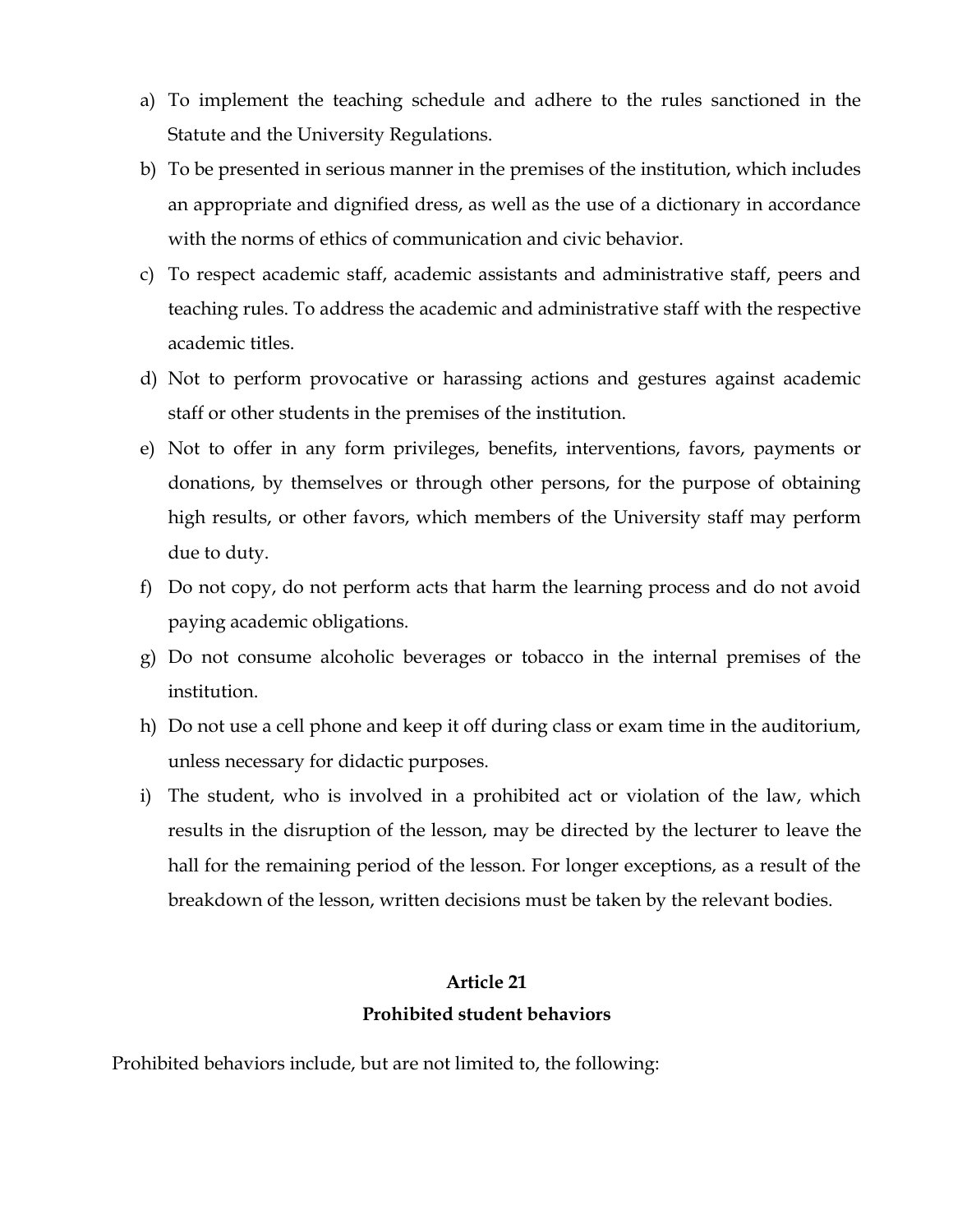- a) To implement the teaching schedule and adhere to the rules sanctioned in the Statute and the University Regulations.
- b) To be presented in serious manner in the premises of the institution, which includes an appropriate and dignified dress, as well as the use of a dictionary in accordance with the norms of ethics of communication and civic behavior.
- c) To respect academic staff, academic assistants and administrative staff, peers and teaching rules. To address the academic and administrative staff with the respective academic titles.
- d) Not to perform provocative or harassing actions and gestures against academic staff or other students in the premises of the institution.
- e) Not to offer in any form privileges, benefits, interventions, favors, payments or donations, by themselves or through other persons, for the purpose of obtaining high results, or other favors, which members of the University staff may perform due to duty.
- f) Do not copy, do not perform acts that harm the learning process and do not avoid paying academic obligations.
- g) Do not consume alcoholic beverages or tobacco in the internal premises of the institution.
- h) Do not use a cell phone and keep it off during class or exam time in the auditorium, unless necessary for didactic purposes.
- i) The student, who is involved in a prohibited act or violation of the law, which results in the disruption of the lesson, may be directed by the lecturer to leave the hall for the remaining period of the lesson. For longer exceptions, as a result of the breakdown of the lesson, written decisions must be taken by the relevant bodies.

#### **Prohibited student behaviors**

Prohibited behaviors include, but are not limited to, the following: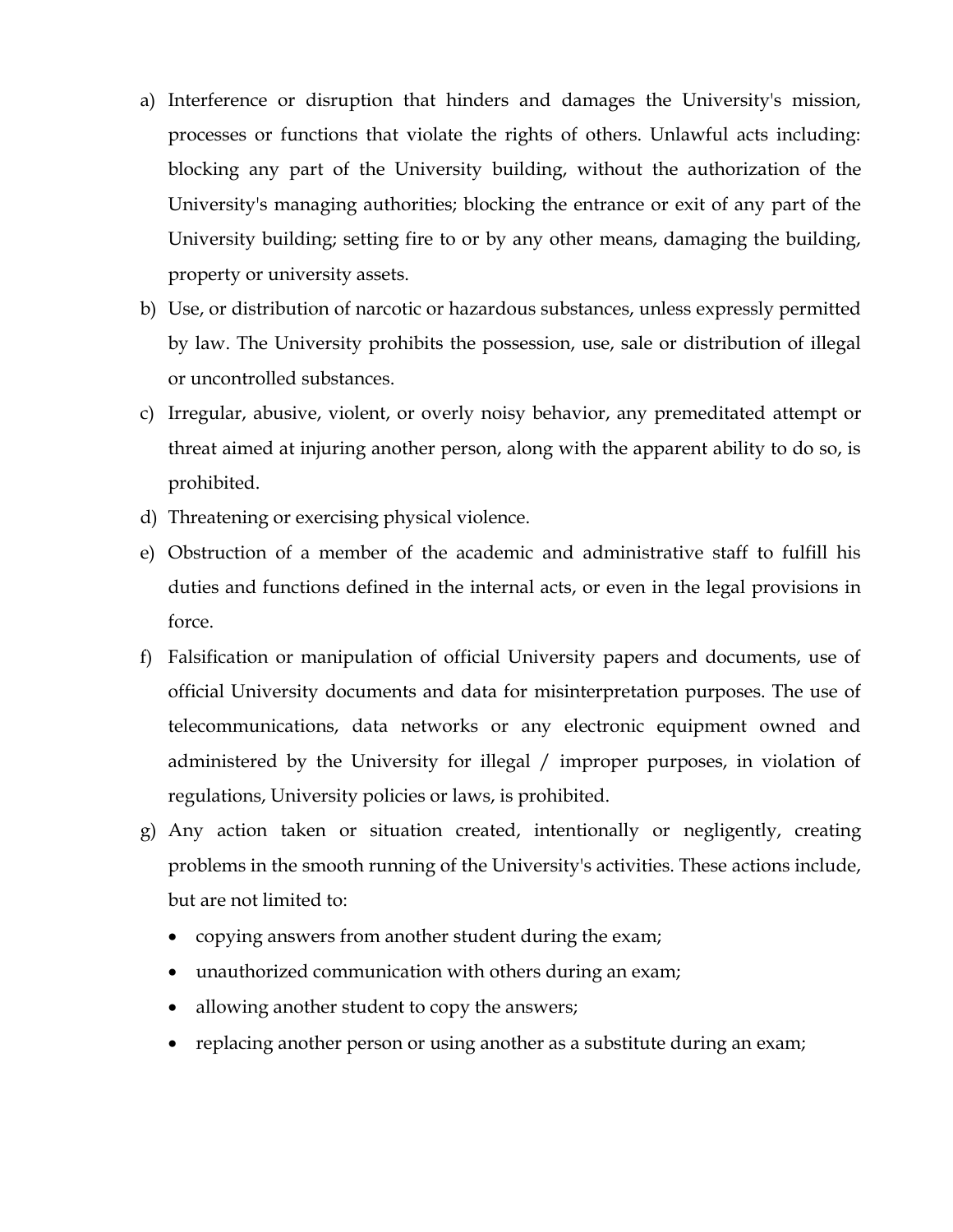- a) Interference or disruption that hinders and damages the University's mission, processes or functions that violate the rights of others. Unlawful acts including: blocking any part of the University building, without the authorization of the University's managing authorities; blocking the entrance or exit of any part of the University building; setting fire to or by any other means, damaging the building, property or university assets.
- b) Use, or distribution of narcotic or hazardous substances, unless expressly permitted by law. The University prohibits the possession, use, sale or distribution of illegal or uncontrolled substances.
- c) Irregular, abusive, violent, or overly noisy behavior, any premeditated attempt or threat aimed at injuring another person, along with the apparent ability to do so, is prohibited.
- d) Threatening or exercising physical violence.
- e) Obstruction of a member of the academic and administrative staff to fulfill his duties and functions defined in the internal acts, or even in the legal provisions in force.
- f) Falsification or manipulation of official University papers and documents, use of official University documents and data for misinterpretation purposes. The use of telecommunications, data networks or any electronic equipment owned and administered by the University for illegal / improper purposes, in violation of regulations, University policies or laws, is prohibited.
- g) Any action taken or situation created, intentionally or negligently, creating problems in the smooth running of the University's activities. These actions include, but are not limited to:
	- copying answers from another student during the exam;
	- unauthorized communication with others during an exam;
	- allowing another student to copy the answers;
	- replacing another person or using another as a substitute during an exam;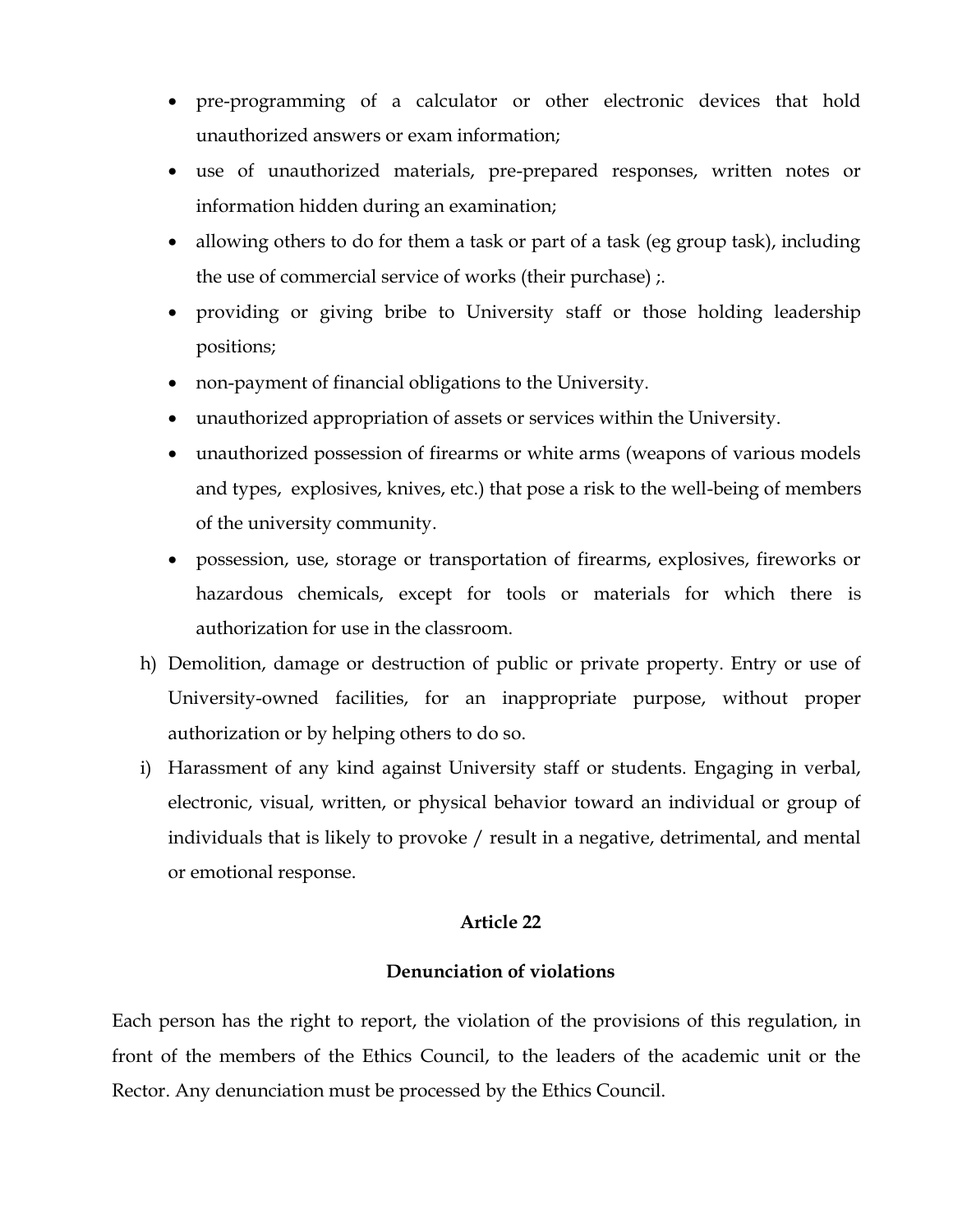- pre-programming of a calculator or other electronic devices that hold unauthorized answers or exam information;
- use of unauthorized materials, pre-prepared responses, written notes or information hidden during an examination;
- allowing others to do for them a task or part of a task (eg group task), including the use of commercial service of works (their purchase) ;.
- providing or giving bribe to University staff or those holding leadership positions;
- non-payment of financial obligations to the University.
- unauthorized appropriation of assets or services within the University.
- unauthorized possession of firearms or white arms (weapons of various models and types, explosives, knives, etc.) that pose a risk to the well-being of members of the university community.
- possession, use, storage or transportation of firearms, explosives, fireworks or hazardous chemicals, except for tools or materials for which there is authorization for use in the classroom.
- h) Demolition, damage or destruction of public or private property. Entry or use of University-owned facilities, for an inappropriate purpose, without proper authorization or by helping others to do so.
- i) Harassment of any kind against University staff or students. Engaging in verbal, electronic, visual, written, or physical behavior toward an individual or group of individuals that is likely to provoke / result in a negative, detrimental, and mental or emotional response.

#### **Denunciation of violations**

Each person has the right to report, the violation of the provisions of this regulation, in front of the members of the Ethics Council, to the leaders of the academic unit or the Rector. Any denunciation must be processed by the Ethics Council.